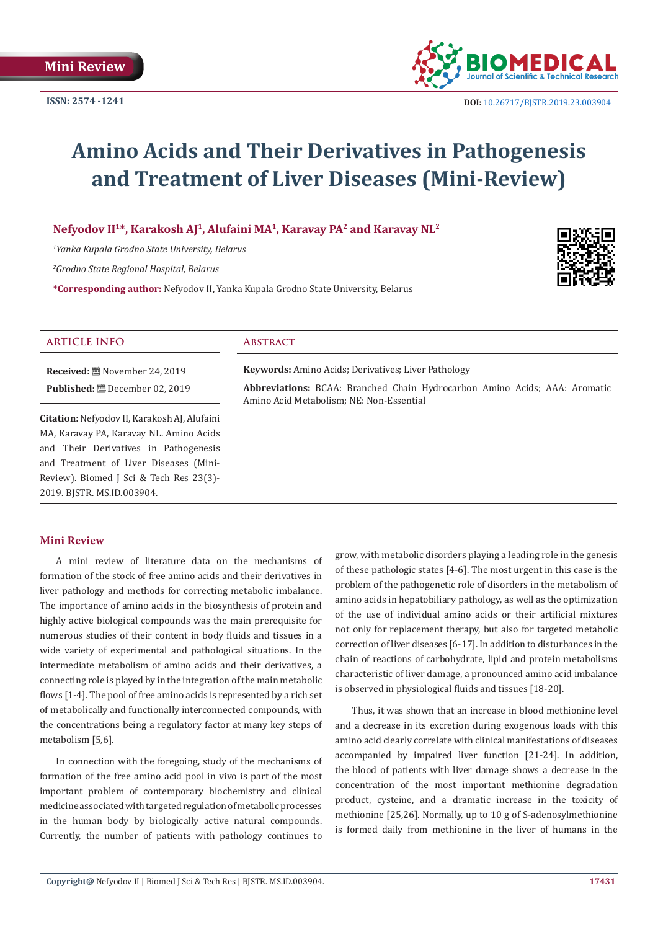

 **DOI:** [10.26717/BJSTR.2019.23.0039](http://dx.doi.org/10.26717/BJSTR.2019.23.003904)04

# **Amino Acids and Their Derivatives in Pathogenesis and Treatment of Liver Diseases (Mini-Review)**

**Nefyodov II1\*, Karakosh AJ1, Alufaini MA1, Karavay PA2 and Karavay NL2**

*1 Yanka Kupala Grodno State University, Belarus*

*2 Grodno State Regional Hospital, Belarus*

**\*Corresponding author:** Nefyodov II, Yanka Kupala Grodno State University, Belarus



# **ARTICLE INFO Abstract**

**Received:** November 24, 2019 **Published:** December 02, 2019

**Citation:** Nefyodov II, Karakosh AJ, Alufaini MA, Karavay PA, Karavay NL. Amino Acids and Their Derivatives in Pathogenesis and Treatment of Liver Diseases (Mini-Review). Biomed J Sci & Tech Res 23(3)- 2019. BJSTR. MS.ID.003904.

**Keywords:** Amino Acids; Derivatives; Liver Pathology

**Abbreviations:** BCAA: Branched Chain Hydrocarbon Amino Acids; AAA: Aromatic Amino Acid Metabolism; NE: Non-Essential

# **Mini Review**

A mini review of literature data on the mechanisms of formation of the stock of free amino acids and their derivatives in liver pathology and methods for correcting metabolic imbalance. The importance of amino acids in the biosynthesis of protein and highly active biological compounds was the main prerequisite for numerous studies of their content in body fluids and tissues in a wide variety of experimental and pathological situations. In the intermediate metabolism of amino acids and their derivatives, a connecting role is played by in the integration of the main metabolic flows [1-4]. The pool of free amino acids is represented by a rich set of metabolically and functionally interconnected compounds, with the concentrations being a regulatory factor at many key steps of metabolism [5,6].

In connection with the foregoing, study of the mechanisms of formation of the free amino acid pool in vivo is part of the most important problem of contemporary biochemistry and clinical medicine associated with targeted regulation of metabolic processes in the human body by biologically active natural compounds. Currently, the number of patients with pathology continues to

grow, with metabolic disorders playing a leading role in the genesis of these pathologic states [4-6]. The most urgent in this case is the problem of the pathogenetic role of disorders in the metabolism of amino acids in hepatobiliary pathology, as well as the optimization of the use of individual amino acids or their artificial mixtures not only for replacement therapy, but also for targeted metabolic correction of liver diseases [6-17]. In addition to disturbances in the chain of reactions of carbohydrate, lipid and protein metabolisms characteristic of liver damage, a pronounced amino acid imbalance is observed in physiological fluids and tissues [18-20].

Thus, it was shown that an increase in blood methionine level and a decrease in its excretion during exogenous loads with this amino acid clearly correlate with clinical manifestations of diseases accompanied by impaired liver function [21-24]. In addition, the blood of patients with liver damage shows a decrease in the concentration of the most important methionine degradation product, cysteine, and a dramatic increase in the toxicity of methionine [25,26]. Normally, up to 10 g of S-adenosylmethionine is formed daily from methionine in the liver of humans in the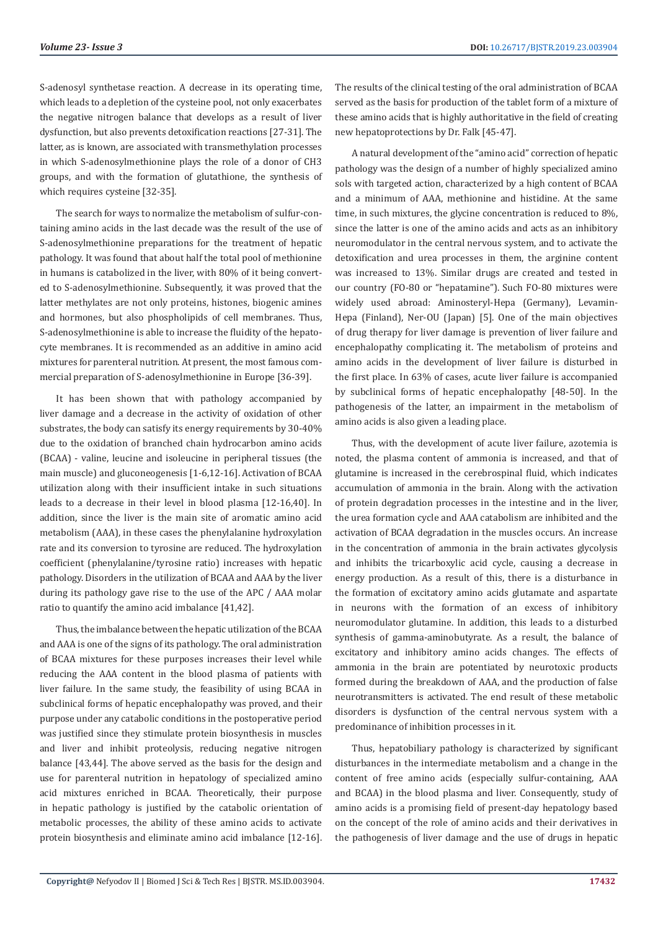S-adenosyl synthetase reaction. A decrease in its operating time, which leads to a depletion of the cysteine pool, not only exacerbates the negative nitrogen balance that develops as a result of liver dysfunction, but also prevents detoxification reactions [27-31]. The latter, as is known, are associated with transmethylation processes in which S-adenosylmethionine plays the role of a donor of CH3 groups, and with the formation of glutathione, the synthesis of which requires cysteine [32-35].

The search for ways to normalize the metabolism of sulfur-containing amino acids in the last decade was the result of the use of S-adenosylmethionine preparations for the treatment of hepatic pathology. It was found that about half the total pool of methionine in humans is catabolized in the liver, with 80% of it being converted to S-adenosylmethionine. Subsequently, it was proved that the latter methylates are not only proteins, histones, biogenic amines and hormones, but also phospholipids of cell membranes. Thus, S-adenosylmethionine is able to increase the fluidity of the hepatocyte membranes. It is recommended as an additive in amino acid mixtures for parenteral nutrition. At present, the most famous commercial preparation of S-adenosylmethionine in Europe [36-39].

It has been shown that with pathology accompanied by liver damage and a decrease in the activity of oxidation of other substrates, the body can satisfy its energy requirements by 30-40% due to the oxidation of branched chain hydrocarbon amino acids (BCAA) - valine, leucine and isoleucine in peripheral tissues (the main muscle) and gluconeogenesis [1-6,12-16]. Activation of BCAA utilization along with their insufficient intake in such situations leads to a decrease in their level in blood plasma [12-16,40]. In addition, since the liver is the main site of aromatic amino acid metabolism (AAA), in these cases the phenylalanine hydroxylation rate and its conversion to tyrosine are reduced. The hydroxylation coefficient (phenylalanine/tyrosine ratio) increases with hepatic pathology. Disorders in the utilization of BCAA and AAA by the liver during its pathology gave rise to the use of the APC / AAA molar ratio to quantify the amino acid imbalance [41,42].

Thus, the imbalance between the hepatic utilization of the BCAA and AAA is one of the signs of its pathology. The oral administration of BCAA mixtures for these purposes increases their level while reducing the AAA content in the blood plasma of patients with liver failure. In the same study, the feasibility of using BCAA in subclinical forms of hepatic encephalopathy was proved, and their purpose under any catabolic conditions in the postoperative period was justified since they stimulate protein biosynthesis in muscles and liver and inhibit proteolysis, reducing negative nitrogen balance [43,44]. The above served as the basis for the design and use for parenteral nutrition in hepatology of specialized amino acid mixtures enriched in BCAA. Theoretically, their purpose in hepatic pathology is justified by the catabolic orientation of metabolic processes, the ability of these amino acids to activate protein biosynthesis and eliminate amino acid imbalance [12-16].

The results of the clinical testing of the oral administration of BCAA served as the basis for production of the tablet form of a mixture of these amino acids that is highly authoritative in the field of creating new hepatoprotections by Dr. Falk [45-47].

A natural development of the "amino acid" correction of hepatic pathology was the design of a number of highly specialized amino sols with targeted action, characterized by a high content of BCAA and a minimum of AAA, methionine and histidine. At the same time, in such mixtures, the glycine concentration is reduced to 8%, since the latter is one of the amino acids and acts as an inhibitory neuromodulator in the central nervous system, and to activate the detoxification and urea processes in them, the arginine content was increased to 13%. Similar drugs are created and tested in our country (FO-80 or "hepatamine"). Such FO-80 mixtures were widely used abroad: Aminosteryl-Hepa (Germany), Levamin-Hepa (Finland), Ner-OU (Japan) [5]. One of the main objectives of drug therapy for liver damage is prevention of liver failure and encephalopathy complicating it. The metabolism of proteins and amino acids in the development of liver failure is disturbed in the first place. In 63% of cases, acute liver failure is accompanied by subclinical forms of hepatic encephalopathy [48-50]. In the pathogenesis of the latter, an impairment in the metabolism of amino acids is also given a leading place.

Thus, with the development of acute liver failure, azotemia is noted, the plasma content of ammonia is increased, and that of glutamine is increased in the cerebrospinal fluid, which indicates accumulation of ammonia in the brain. Along with the activation of protein degradation processes in the intestine and in the liver, the urea formation cycle and AAA catabolism are inhibited and the activation of BCAA degradation in the muscles occurs. An increase in the concentration of ammonia in the brain activates glycolysis and inhibits the tricarboxylic acid cycle, causing a decrease in energy production. As a result of this, there is a disturbance in the formation of excitatory amino acids glutamate and aspartate in neurons with the formation of an excess of inhibitory neuromodulator glutamine. In addition, this leads to a disturbed synthesis of gamma-aminobutyrate. As a result, the balance of excitatory and inhibitory amino acids changes. The effects of ammonia in the brain are potentiated by neurotoxic products formed during the breakdown of AAA, and the production of false neurotransmitters is activated. The end result of these metabolic disorders is dysfunction of the central nervous system with a predominance of inhibition processes in it.

Thus, hepatobiliary pathology is characterized by significant disturbances in the intermediate metabolism and a change in the content of free amino acids (especially sulfur-containing, AAA and BCAA) in the blood plasma and liver. Consequently, study of amino acids is a promising field of present-day hepatology based on the concept of the role of amino acids and their derivatives in the pathogenesis of liver damage and the use of drugs in hepatic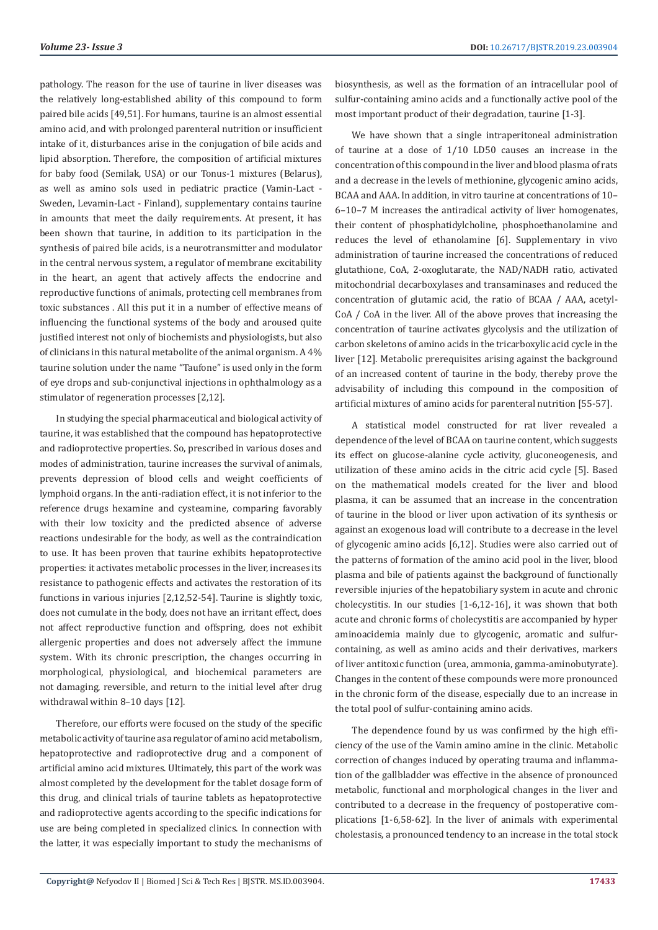pathology. The reason for the use of taurine in liver diseases was the relatively long-established ability of this compound to form paired bile acids [49,51]. For humans, taurine is an almost essential amino acid, and with prolonged parenteral nutrition or insufficient intake of it, disturbances arise in the conjugation of bile acids and lipid absorption. Therefore, the composition of artificial mixtures for baby food (Semilak, USA) or our Tonus-1 mixtures (Belarus), as well as amino sols used in pediatric practice (Vamin-Lact - Sweden, Levamin-Lact - Finland), supplementary contains taurine in amounts that meet the daily requirements. At present, it has been shown that taurine, in addition to its participation in the synthesis of paired bile acids, is a neurotransmitter and modulator in the central nervous system, a regulator of membrane excitability in the heart, an agent that actively affects the endocrine and reproductive functions of animals, protecting cell membranes from toxic substances . All this put it in a number of effective means of influencing the functional systems of the body and aroused quite justified interest not only of biochemists and physiologists, but also of clinicians in this natural metabolite of the animal organism. A 4% taurine solution under the name "Taufone" is used only in the form of eye drops and sub-conjunctival injections in ophthalmology as a stimulator of regeneration processes [2,12].

In studying the special pharmaceutical and biological activity of taurine, it was established that the compound has hepatoprotective and radioprotective properties. So, prescribed in various doses and modes of administration, taurine increases the survival of animals, prevents depression of blood cells and weight coefficients of lymphoid organs. In the anti-radiation effect, it is not inferior to the reference drugs hexamine and cysteamine, comparing favorably with their low toxicity and the predicted absence of adverse reactions undesirable for the body, as well as the contraindication to use. It has been proven that taurine exhibits hepatoprotective properties: it activates metabolic processes in the liver, increases its resistance to pathogenic effects and activates the restoration of its functions in various injuries [2,12,52-54]. Taurine is slightly toxic, does not cumulate in the body, does not have an irritant effect, does not affect reproductive function and offspring, does not exhibit allergenic properties and does not adversely affect the immune system. With its chronic prescription, the changes occurring in morphological, physiological, and biochemical parameters are not damaging, reversible, and return to the initial level after drug withdrawal within 8–10 days [12].

Therefore, our efforts were focused on the study of the specific metabolic activity of taurine as a regulator of amino acid metabolism, hepatoprotective and radioprotective drug and a component of artificial amino acid mixtures. Ultimately, this part of the work was almost completed by the development for the tablet dosage form of this drug, and clinical trials of taurine tablets as hepatoprotective and radioprotective agents according to the specific indications for use are being completed in specialized clinics. In connection with the latter, it was especially important to study the mechanisms of biosynthesis, as well as the formation of an intracellular pool of sulfur-containing amino acids and a functionally active pool of the most important product of their degradation, taurine [1-3].

We have shown that a single intraperitoneal administration of taurine at a dose of 1/10 LD50 causes an increase in the concentration of this compound in the liver and blood plasma of rats and a decrease in the levels of methionine, glycogenic amino acids, BCAA and AAA. In addition, in vitro taurine at concentrations of 10– 6–10–7 M increases the antiradical activity of liver homogenates, their content of phosphatidylcholine, phosphoethanolamine and reduces the level of ethanolamine [6]. Supplementary in vivo administration of taurine increased the concentrations of reduced glutathione, CoA, 2-oxoglutarate, the NAD/NADH ratio, activated mitochondrial decarboxylases and transaminases and reduced the concentration of glutamic acid, the ratio of BCAA / AAA, acetyl-CoA / CoA in the liver. All of the above proves that increasing the concentration of taurine activates glycolysis and the utilization of carbon skeletons of amino acids in the tricarboxylic acid cycle in the liver [12]. Metabolic prerequisites arising against the background of an increased content of taurine in the body, thereby prove the advisability of including this compound in the composition of artificial mixtures of amino acids for parenteral nutrition [55-57].

A statistical model constructed for rat liver revealed a dependence of the level of BCAA on taurine content, which suggests its effect on glucose-alanine cycle activity, gluconeogenesis, and utilization of these amino acids in the citric acid cycle [5]. Based on the mathematical models created for the liver and blood plasma, it can be assumed that an increase in the concentration of taurine in the blood or liver upon activation of its synthesis or against an exogenous load will contribute to a decrease in the level of glycogenic amino acids [6,12]. Studies were also carried out of the patterns of formation of the amino acid pool in the liver, blood plasma and bile of patients against the background of functionally reversible injuries of the hepatobiliary system in acute and chronic cholecystitis. In our studies [1-6,12-16], it was shown that both acute and chronic forms of cholecystitis are accompanied by hyper aminoacidemia mainly due to glycogenic, aromatic and sulfurcontaining, as well as amino acids and their derivatives, markers of liver antitoxic function (urea, ammonia, gamma-aminobutyrate). Changes in the content of these compounds were more pronounced in the chronic form of the disease, especially due to an increase in the total pool of sulfur-containing amino acids.

The dependence found by us was confirmed by the high efficiency of the use of the Vamin amino amine in the clinic. Metabolic correction of changes induced by operating trauma and inflammation of the gallbladder was effective in the absence of pronounced metabolic, functional and morphological changes in the liver and contributed to a decrease in the frequency of postoperative complications [1-6,58-62]. In the liver of animals with experimental cholestasis, a pronounced tendency to an increase in the total stock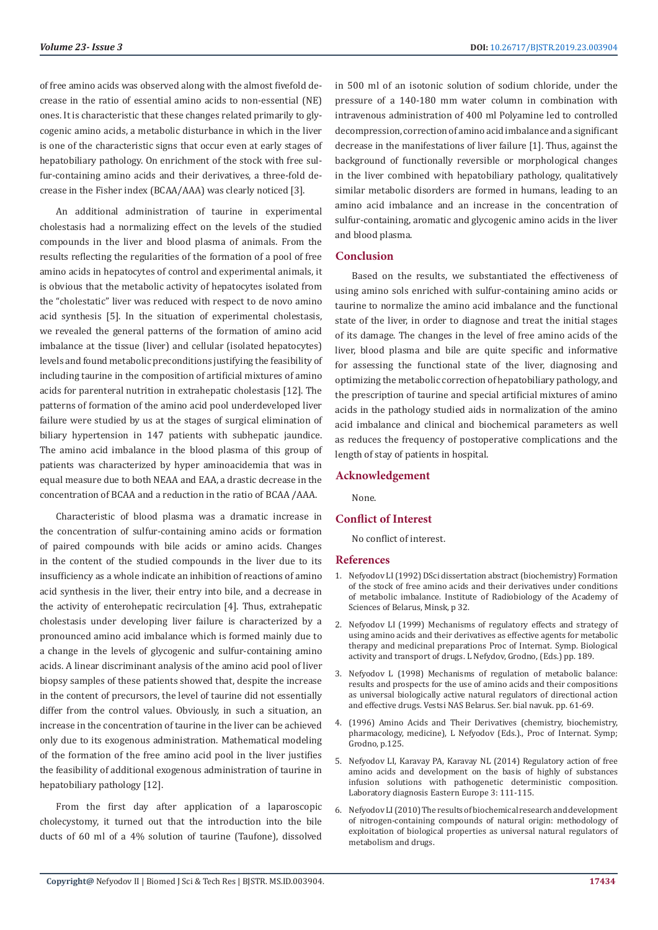of free amino acids was observed along with the almost fivefold decrease in the ratio of essential amino acids to non-essential (NE) ones. It is characteristic that these changes related primarily to glycogenic amino acids, a metabolic disturbance in which in the liver is one of the characteristic signs that occur even at early stages of hepatobiliary pathology. On enrichment of the stock with free sulfur-containing amino acids and their derivatives, a three-fold decrease in the Fisher index (BCAA/AAA) was clearly noticed [3].

An additional administration of taurine in experimental cholestasis had a normalizing effect on the levels of the studied compounds in the liver and blood plasma of animals. From the results reflecting the regularities of the formation of a pool of free amino acids in hepatocytes of control and experimental animals, it is obvious that the metabolic activity of hepatocytes isolated from the "cholestatic" liver was reduced with respect to de novo amino acid synthesis [5]. In the situation of experimental cholestasis, we revealed the general patterns of the formation of amino acid imbalance at the tissue (liver) and cellular (isolated hepatocytes) levels and found metabolic preconditions justifying the feasibility of including taurine in the composition of artificial mixtures of amino acids for parenteral nutrition in extrahepatic cholestasis [12]. The patterns of formation of the amino acid pool underdeveloped liver failure were studied by us at the stages of surgical elimination of biliary hypertension in 147 patients with subhepatic jaundice. The amino acid imbalance in the blood plasma of this group of patients was characterized by hyper aminoacidemia that was in equal measure due to both NEAA and EAA, a drastic decrease in the concentration of BCAA and a reduction in the ratio of BCAA /AAA.

Characteristic of blood plasma was a dramatic increase in the concentration of sulfur-containing amino acids or formation of paired compounds with bile acids or amino acids. Changes in the content of the studied compounds in the liver due to its insufficiency as a whole indicate an inhibition of reactions of amino acid synthesis in the liver, their entry into bile, and a decrease in the activity of enterohepatic recirculation [4]. Thus, extrahepatic cholestasis under developing liver failure is characterized by a pronounced amino acid imbalance which is formed mainly due to a change in the levels of glycogenic and sulfur-containing amino acids. A linear discriminant analysis of the amino acid pool of liver biopsy samples of these patients showed that, despite the increase in the content of precursors, the level of taurine did not essentially differ from the control values. Obviously, in such a situation, an increase in the concentration of taurine in the liver can be achieved only due to its exogenous administration. Mathematical modeling of the formation of the free amino acid pool in the liver justifies the feasibility of additional exogenous administration of taurine in hepatobiliary pathology [12].

From the first day after application of a laparoscopic cholecystomy, it turned out that the introduction into the bile ducts of 60 ml of a 4% solution of taurine (Taufone), dissolved

in 500 ml of an isotonic solution of sodium chloride, under the pressure of a 140-180 mm water column in combination with intravenous administration of 400 ml Polyamine led to controlled decompression, correction of amino acid imbalance and a significant decrease in the manifestations of liver failure [1]. Thus, against the background of functionally reversible or morphological changes in the liver combined with hepatobiliary pathology, qualitatively similar metabolic disorders are formed in humans, leading to an amino acid imbalance and an increase in the concentration of sulfur-containing, aromatic and glycogenic amino acids in the liver and blood plasma.

### **Conclusion**

Based on the results, we substantiated the effectiveness of using amino sols enriched with sulfur-containing amino acids or taurine to normalize the amino acid imbalance and the functional state of the liver, in order to diagnose and treat the initial stages of its damage. The changes in the level of free amino acids of the liver, blood plasma and bile are quite specific and informative for assessing the functional state of the liver, diagnosing and optimizing the metabolic correction of hepatobiliary pathology, and the prescription of taurine and special artificial mixtures of amino acids in the pathology studied aids in normalization of the amino acid imbalance and clinical and biochemical parameters as well as reduces the frequency of postoperative complications and the length of stay of patients in hospital.

### **Acknowledgement**

None.

### **Conflict of Interest**

No conflict of interest.

#### **References**

- 1. Nefyodov LI (1992) DSci dissertation abstract (biochemistry) Formation of the stock of free amino acids and their derivatives under conditions of metabolic imbalance. Institute of Radiobiology of the Academy of Sciences of Belarus, Minsk, p 32.
- 2. Nefyodov LI (1999) Mechanisms of regulatory effects and strategy of using amino acids and their derivatives as effective agents for metabolic therapy and medicinal preparations Proc of Internat. Symp. Biological activity and transport of drugs. L Nefydov, Grodno, (Eds.) pp. 189.
- 3. Nefyodov L (1998) Mechanisms of regulation of metabolic balance: results and prospects for the use of amino acids and their compositions as universal biologically active natural regulators of directional action and effective drugs. Vestsi NAS Belarus. Ser. bial navuk. pp. 61-69.
- 4. (1996) Amino Acids and Their Derivatives (chemistry, biochemistry, pharmacology, medicine), L Nefyodov (Eds.)., Proc of Internat. Symp; Grodno, p.125.
- 5. Nefyodov LI, Karavay PA, Karavay NL (2014) Regulatory action of free amino acids and development on the basis of highly of substances infusion solutions with pathogenetic deterministic composition. Laboratory diagnosis Eastern Europe 3: 111-115.
- 6. [Nefyodov LI \(2010\) The results of biochemical research and development](http://www.nil.grsu.by/index.php?page=index.) [of nitrogen-containing compounds of natural origin: methodology of](http://www.nil.grsu.by/index.php?page=index.) [exploitation of biological properties as universal natural regulators of](http://www.nil.grsu.by/index.php?page=index.) [metabolism and drugs.](http://www.nil.grsu.by/index.php?page=index.)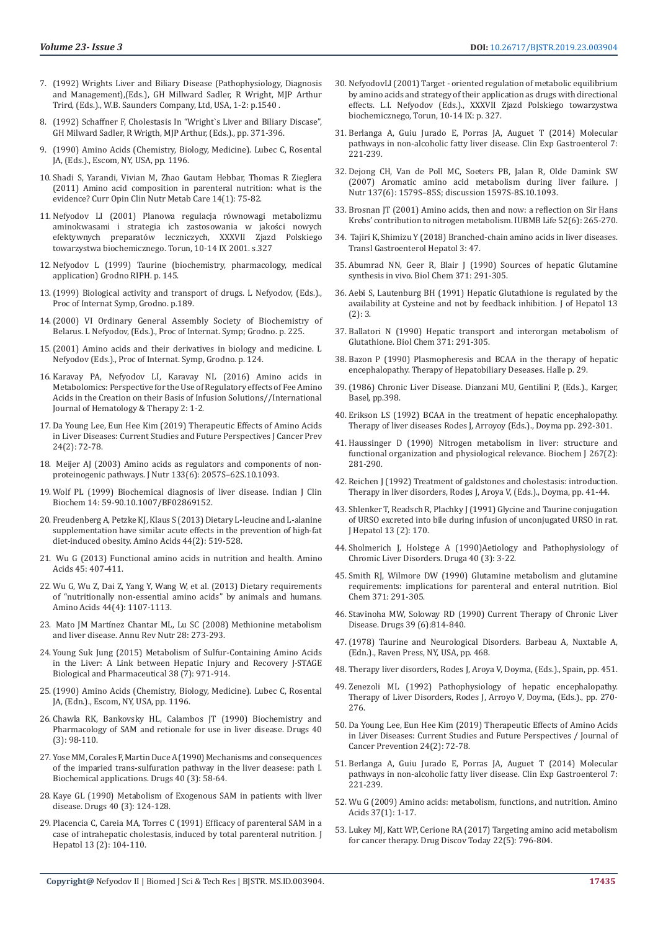- 7. (1992) Wrights Liver and Biliary Disease (Pathophysiology, Diagnosis and Management),(Eds.), GH Millward Sadler, R Wright, MJP Arthur Trird, (Eds.)., W.B. Saunders Company, Ltd, USA, 1-2: p.1540 .
- 8. (1992) Schaffner F, Cholestasis In "Wright`s Liver and Biliary Discase", GH Milward Sadler, R Wrigth, MJP Arthur, (Eds.)., pp. 371-396.
- 9. (1990) Amino Acids (Chemistry, Biology, Medicine). Lubec C, Rosental JA, (Eds.)., Escom, NY, USA, pp. 1196.
- 10. [Shadi S, Yarandi, Vivian M, Zhao Gautam Hebbar, Thomas R Zieglera](http://www.ncbi.nlm.nih.gov/entrez/eutils/elink.fcgi?dbfrom=pubmed&retmode=ref&cmd=prlinks&id=21076291)  [\(2011\) Amino acid composition in parenteral nutrition: what is the](http://www.ncbi.nlm.nih.gov/entrez/eutils/elink.fcgi?dbfrom=pubmed&retmode=ref&cmd=prlinks&id=21076291)  [evidence? Curr Opin Clin Nutr Metab Care 14\(1\): 75-82.](http://www.ncbi.nlm.nih.gov/entrez/eutils/elink.fcgi?dbfrom=pubmed&retmode=ref&cmd=prlinks&id=21076291)
- 11. Nefyodov LI (2001) Planowa regulacja równowagi metabolizmu aminokwasami i strategia ich zastosowania w jakości nowych efektywnych preparatów leczniczych, XXXVII Zjazd Polskiego towarzystwa biochemicznego. Torun, 10-14 IX 2001. s.327
- 12. Nefyodov L (1999) Taurine (biochemistry, pharmacology, medical application) Grodno RIPH. p. 145.
- 13.(1999) Biological activity and transport of drugs. L Nefyodov, (Eds.)., Proc of Internat Symp, Grodno. p.189.
- 14.(2000) VI Ordinary General Assembly Society of Biochemistry of Belarus. L Nefyodov, (Eds.)., Proc of Internat. Symp; Grodno. p. 225.
- 15.(2001) Amino acids and their derivatives in biology and medicine. L Nefyodov (Eds.)., Proc of Internat. Symp, Grodno. p. 124.
- 16. Karavay PA, Nefyodov LI, Karavay NL (2016) Amino acids in Metabolomics: Perspective for the Use of Regulatory effects of Fee Amino Acids in the Creation on their Basis of Infusion Solutions//International Journal of Hematology & Therapy 2: 1-2.
- 17. [Da Young Lee, Eun Hee Kim \(2019\) Therapeutic Effects of Amino Acids](https://www.ncbi.nlm.nih.gov/pmc/articles/PMC6619856/)  [in Liver Diseases: Current Studies and Future Perspectives J Cancer Prev](https://www.ncbi.nlm.nih.gov/pmc/articles/PMC6619856/)  [24\(2\): 72-78.](https://www.ncbi.nlm.nih.gov/pmc/articles/PMC6619856/)
- 18. [Meijer AJ \(2003\) Amino acids as regulators and components of non](https://www.ncbi.nlm.nih.gov/pubmed/12771365)[proteinogenic pathways. J Nutr 133\(6\): 2057S–62S.10.1093.](https://www.ncbi.nlm.nih.gov/pubmed/12771365)
- 19. Wolf PL (1999) Biochemical diagnosis of liver disease. Indian J Clin Biochem 14: 59-90.10.1007/BF02869152.
- 20. [Freudenberg A, Petzke KJ, Klaus S \(2013\) Dietary L-leucine and L-alanine](https://www.ncbi.nlm.nih.gov/pubmed/22847780)  [supplementation have similar acute effects in the prevention of high-fat](https://www.ncbi.nlm.nih.gov/pubmed/22847780)  [diet-induced obesity. Amino Acids 44\(2\): 519-528.](https://www.ncbi.nlm.nih.gov/pubmed/22847780)
- 21. [Wu G \(2013\) Functional amino acids in nutrition and health. Amino](https://www.ncbi.nlm.nih.gov/pubmed/23595206)  [Acids 45: 407-411.](https://www.ncbi.nlm.nih.gov/pubmed/23595206)
- 22. [Wu G, Wu Z, Dai Z, Yang Y, Wang W, et al. \(2013\) Dietary requirements](https://www.ncbi.nlm.nih.gov/pubmed/23247926)  [of "nutritionally non-essential amino acids" by animals and humans.](https://www.ncbi.nlm.nih.gov/pubmed/23247926)  [Amino Acids 44\(4\): 1107-1113.](https://www.ncbi.nlm.nih.gov/pubmed/23247926)
- 23. Mato JM Mart[ínez Chantar ML, Lu SC \(2008\) Methionine metabolism](https://www.ncbi.nlm.nih.gov/pubmed/18331185)  [and liver disease. Annu Rev Nutr 28: 273-293.](https://www.ncbi.nlm.nih.gov/pubmed/18331185)
- 24. [Young Suk Jung \(2015\) Metabolism of Sulfur-Containing Amino Acids](https://www.ncbi.nlm.nih.gov/pubmed/26133705)  [in the Liver: A Link between Hepatic Injury and Recovery J-STAGE](https://www.ncbi.nlm.nih.gov/pubmed/26133705)  [Biological and Pharmaceutical 38 \(7\): 971-914.](https://www.ncbi.nlm.nih.gov/pubmed/26133705)
- 25.(1990) Amino Acids (Chemistry, Biology, Medicine). Lubec C, Rosental JA, (Edn.)., Escom, NY, USA, pp. 1196.
- 26. [Chawla RK, Bankovsky HL, Calambos JT \(1990\) Biochemistry and](https://link.springer.com/article/10.2165/00003495-199000403-00010)  [Pharmacology of SAM and retionale for use in liver disease. Drugs 40](https://link.springer.com/article/10.2165/00003495-199000403-00010)  [\(3\): 98-110.](https://link.springer.com/article/10.2165/00003495-199000403-00010)
- 27. [Yose MM, Corales F, Martin Duce A \(1990\) Mechanisms and consequences](https://link.springer.com/article/10.2165/00003495-199000403-00006)  [of the imparied trans-sulfuration pathway in the liver deasese: path I.](https://link.springer.com/article/10.2165/00003495-199000403-00006)  [Biochemical applications. Drugs 40 \(3\): 58-64.](https://link.springer.com/article/10.2165/00003495-199000403-00006)
- 28. [Kaye GL \(1990\) Metabolism of Exogenous SAM in patients with liver](https://www.ncbi.nlm.nih.gov/pubmed/2081477)  [disease. Drugs 40 \(3\): 124-128.](https://www.ncbi.nlm.nih.gov/pubmed/2081477)
- 29. Placencia C, Careia MA, Torres C (1991) Efficacy of parenteral SAM in a case of intrahepatic cholestasis, induced by total parenteral nutrition. J Hepatol 13 (2): 104-110.
- 30. NefyodovLI (2001) Target oriented regulation of metabolic equilibrium by amino acids and strategy of their application as drugs with directional effects. L.I. Nefyodov (Eds.)., XXXVII Zjazd Polskiego towarzystwa biochemicznego, Torun, 10-14 IX: p. 327.
- 31. [Berlanga A, Guiu Jurado E, Porras JA, Auguet T \(2014\) Molecular](https://www.ncbi.nlm.nih.gov/pubmed/25045276) [pathways in non-alcoholic fatty liver disease.](https://www.ncbi.nlm.nih.gov/pubmed/25045276) Clin Exp Gastroenterol 7: [221-239.](https://www.ncbi.nlm.nih.gov/pubmed/25045276)
- 32. [Dejong CH, Van de Poll MC, Soeters PB, Jalan R, Olde Damink SW](https://www.ncbi.nlm.nih.gov/pubmed/17513430) (2007) [Aromatic amino acid metabolism during liver failure.](https://www.ncbi.nlm.nih.gov/pubmed/17513430) J Nutr [137\(6\): 1579S–85S; discussion 1597S-8S.10.1093.](https://www.ncbi.nlm.nih.gov/pubmed/17513430)
- 33. [Brosnan JT \(2001\) Amino acids, then and now: a reflection on Sir Hans](https://www.ncbi.nlm.nih.gov/pubmed/11895074) [Krebs' contribution to nitrogen metabolism.](https://www.ncbi.nlm.nih.gov/pubmed/11895074) IUBMB Life 52(6): 265-270.
- 34. [Tajiri K, Shimizu Y \(2018\) Branched-chain amino acids in liver diseases.](https://www.ncbi.nlm.nih.gov/pmc/articles/PMC6088198/) [Transl Gastroenterol Hepatol 3: 47.](https://www.ncbi.nlm.nih.gov/pmc/articles/PMC6088198/)
- 35. Abumrad NN, Geer R, Blair J (1990) Sources of hepatic Glutamine synthesis in vivo. Biol Chem 371: 291-305.
- 36. [Aebi S, Lautenburg BH \(1991\) Hepatic Glutathione is regulated by the](https://www.journal-of-hepatology.eu/article/0168-8278(91)91001-W/fulltext) [availability at Cysteine and not by feedback inhibition. J of Hepatol 13](https://www.journal-of-hepatology.eu/article/0168-8278(91)91001-W/fulltext)  $(2): 3.$
- 37. Ballatori N (1990) Hepatic transport and interorgan metabolism of Glutathione. Biol Chem 371: 291-305.
- 38. Bazon P (1990) Plasmopheresis and BCAA in the therapy of hepatic encephalopathy. Therapy of Hepatobiliary Deseases. Halle p. 29.
- 39.(1986) Chronic Liver Disease. Dianzani MU, Gentilini P, (Eds.)., Karger, Basel, pp.398.
- 40. Erikson LS (1992) BCAA in the treatment of hepatic encephalopathy. Therapy of liver diseases Rodes J, Arroyoy (Eds.)., Doyma pp. 292-301.
- 41. [Haussinger D \(1990\) Nitrogen metabolism in liver: structure and](https://www.ncbi.nlm.nih.gov/pmc/articles/PMC1131284/) [functional organization and physiological relevance. Biochem J 267\(2\):](https://www.ncbi.nlm.nih.gov/pmc/articles/PMC1131284/) [281-290.](https://www.ncbi.nlm.nih.gov/pmc/articles/PMC1131284/)
- 42. Reichen J (1992) Treatment of galdstones and cholestasis: introduction. Therapy in liver disorders, Rodes J, Aroya V, (Eds.)., Doyma, pp. 41-44.
- 43. [Shlenker T, Readsch R, Plachky J \(1991\) Glycine and Taurine conjugation](https://www.journal-of-hepatology.eu/article/0168-8278(91)91652-W/fulltext) [of URSO excreted into bile during infusion of unconjugated URSO in rat.](https://www.journal-of-hepatology.eu/article/0168-8278(91)91652-W/fulltext) [J Hepatol 13 \(2\): 170.](https://www.journal-of-hepatology.eu/article/0168-8278(91)91652-W/fulltext)
- 44. [Sholmerich J, Holstege A \(1990\)Aetiology and Pathophysiology of](https://www.ncbi.nlm.nih.gov/pubmed/2081479) [Chromic Liver Disorders. Druga 40 \(3\): 3-22.](https://www.ncbi.nlm.nih.gov/pubmed/2081479)
- 45. Smith RJ, Wilmore DW (1990) Glutamine metabolism and glutamine requirements: implications for parenteral and enteral nutrition. Biol Chem 371: 291-305.
- 46. [Stavinoha MW, Soloway RD \(1990\) Current Therapy of Chronic Liver](https://link.springer.com/article/10.2165/00003495-199039060-00002) [Disease. Drugs 39 \(6\):814-840.](https://link.springer.com/article/10.2165/00003495-199039060-00002)
- 47.(1978) Taurine and Neurological Disorders. Barbeau A, Nuxtable A, (Edn.)., Raven Press, NY, USA, pp. 468.
- 48. Therapy liver disorders, Rodes J, Aroya V, Doyma, (Eds.)., Spain, pp. 451.
- 49. Zenezoli ML (1992) Pathophysiology of hepatic encephalopathy. Therapy of Liver Disorders, Rodes J, Arroyo V, Doyma, (Eds.)., pp. 270- 276.
- 50. [Da Young Lee, Eun Hee Kim \(2019\) Therapeutic Effects of Amino Acids](https://www.ncbi.nlm.nih.gov/pmc/articles/PMC6619856/) [in Liver Diseases: Current Studies and Future Perspectives / Journal of](https://www.ncbi.nlm.nih.gov/pmc/articles/PMC6619856/) [Cancer Prevention 24\(2\): 72-78.](https://www.ncbi.nlm.nih.gov/pmc/articles/PMC6619856/)
- 51. [Berlanga A, Guiu Jurado E, Porras JA, Auguet T \(2014\) Molecular](https://www.ncbi.nlm.nih.gov/pubmed/25045276) [pathways in non-alcoholic fatty liver disease. Clin Exp Gastroenterol 7:](https://www.ncbi.nlm.nih.gov/pubmed/25045276) [221-239.](https://www.ncbi.nlm.nih.gov/pubmed/25045276)
- 52. [Wu G \(2009\) Amino acids: metabolism, functions, and nutrition. Amino](https://www.ncbi.nlm.nih.gov/pubmed/19301095) [Acids 37\(1\): 1-17.](https://www.ncbi.nlm.nih.gov/pubmed/19301095)
- 53. [Lukey MJ, Katt WP, Cerione RA \(2017\) Targeting amino acid metabolism](https://www.ncbi.nlm.nih.gov/pubmed/27988359) [for cancer therapy. Drug Discov Today 22\(5\): 796-804.](https://www.ncbi.nlm.nih.gov/pubmed/27988359)